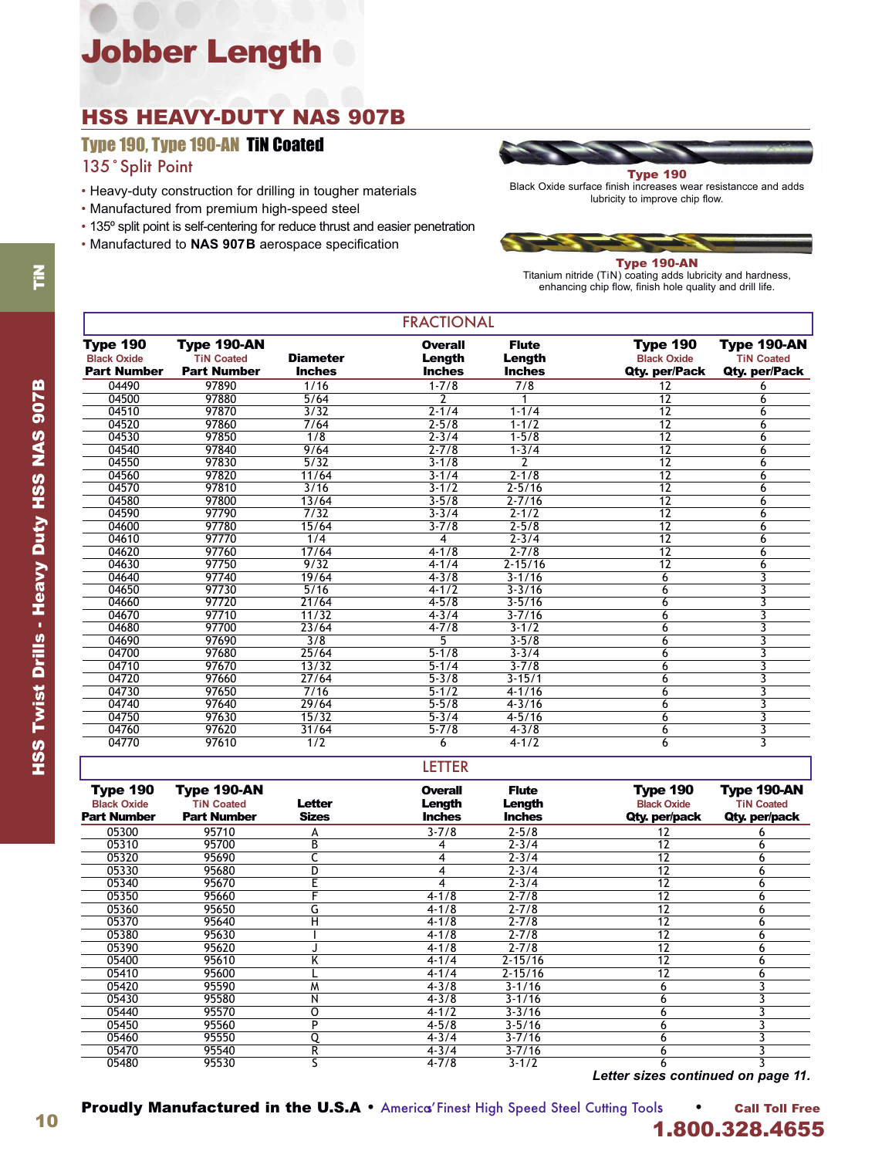# Jobber Length

## HSS HEAVY-DUTY NAS 907B

Type 190, Type 190-AN TiN Coated

135˚Split Point

- Heavy-duty construction for drilling in tougher materials
- Manufactured from premium high-speed steel
- 135º split point is self-centering for reduce thrust and easier penetration
- Manufactured to **NAS 907B** aerospace specification



Black Oxide surface finish increases wear resistancce and adds lubricity to improve chip flow.

Type 190-AN

Titanium nitride (TiN) coating adds lubricity and hardness, enhancing chip flow, finish hole quality and drill life.

| <b>FRACTIONAL</b>                                           |                                                        |                                  |                                    |                                         |                                                        |                                                   |  |
|-------------------------------------------------------------|--------------------------------------------------------|----------------------------------|------------------------------------|-----------------------------------------|--------------------------------------------------------|---------------------------------------------------|--|
| <b>Type 190</b><br><b>Black Oxide</b><br><b>Part Number</b> | Type 190-AN<br><b>TiN Coated</b><br><b>Part Number</b> | <b>Diameter</b><br><b>Inches</b> | Overall<br>Length<br><b>Inches</b> | <b>Flute</b><br>Length<br><b>Inches</b> | <b>Type 190</b><br><b>Black Oxide</b><br>Qty. per/Pack | Type 190-AN<br><b>TiN Coated</b><br>Qty. per/Pack |  |
| 04490                                                       | 97890                                                  | 1/16                             | $1 - 7/8$                          | 7/8                                     | 12                                                     | 6                                                 |  |
| 04500                                                       | 97880                                                  | 5/64                             |                                    |                                         | 12                                                     | 6                                                 |  |
| 04510                                                       | 97870                                                  | 3/32                             | $2 - 1/4$                          | $1 - 1/4$                               | $\overline{12}$                                        | 6                                                 |  |
| 04520                                                       | 97860                                                  | 7/64                             | $2 - 5/8$                          | $1 - 1/2$                               | $\overline{12}$                                        | 6                                                 |  |
| 04530                                                       | 97850                                                  | $\overline{1/8}$                 | $2 - 3/4$                          | $1 - 5/8$                               | $\overline{12}$                                        | 6                                                 |  |
| 04540                                                       | 97840                                                  | 9/64                             | $2 - 7/8$                          | $1 - 3/4$                               | 12                                                     | 6                                                 |  |
| 04550                                                       | 97830                                                  | 5/32                             | $3 - 1/8$                          | 2                                       | $\overline{12}$                                        | 6                                                 |  |
| 04560                                                       | 97820                                                  | 11/64                            | $3 - 1/4$                          | $2 - 1/8$                               | $\overline{12}$                                        | 6                                                 |  |
| 04570                                                       | 97810                                                  | 3/16                             | $3 - 1/2$                          | $2 - 5/16$                              | $\overline{12}$                                        | 6                                                 |  |
| 04580                                                       | 97800                                                  | 13/64                            | $3 - 5/8$                          | $2 - 7/16$                              | $\overline{12}$                                        | 6                                                 |  |
| 04590                                                       | 97790                                                  | 7/32                             | $3 - 3/4$                          | $\sqrt{2-1/2}$                          | $\overline{12}$                                        | 6                                                 |  |
| 04600                                                       | 97780                                                  | 15/64                            | $3 - 7/8$                          | $2 - 5/8$                               | $\overline{12}$                                        | 6                                                 |  |
| 04610                                                       | 97770                                                  | 1/4                              | 4                                  | $2 - 3/4$                               | $\overline{12}$                                        | 6                                                 |  |
| 04620                                                       | 97760                                                  | 17/64                            | $4 - 1/8$                          | $2 - 7/8$                               | $\overline{12}$                                        | 6                                                 |  |
| 04630                                                       | 97750                                                  | 9/32                             | $4 - 1/4$                          | $2 - 15/16$                             | 12                                                     | 6                                                 |  |
| 04640                                                       | 97740                                                  | 19/64                            | $4 - 3/8$                          | $3 - 1/16$                              | 6                                                      | 3                                                 |  |
| 04650                                                       | 97730                                                  | 5/16                             | $4 - 1/2$                          | $3 - 3/16$                              | 6                                                      | 3                                                 |  |
| 04660                                                       | 97720                                                  | 21/64                            | $4 - 5/8$                          | $3 - 5/16$                              | 6                                                      | 3                                                 |  |
| 04670                                                       | 97710                                                  | 11/32                            | $4 - 3/4$                          | $3 - 7/16$                              | 6                                                      | 3                                                 |  |
| 04680                                                       | 97700                                                  | 23/64                            | $4 - 7/8$                          | $3 - 1/2$                               | 6                                                      | 3                                                 |  |
| 04690                                                       | 97690                                                  | $\overline{3/8}$                 | 5                                  | $3 - 5/8$                               | 6                                                      | 3                                                 |  |
| 04700                                                       | 97680                                                  | 25/64                            | $5 - 1/8$                          | $3 - 3/4$                               | 6                                                      | 3                                                 |  |
| 04710                                                       | 97670                                                  | 13/32                            | $5 - 1/4$                          | $3 - 7/8$                               | 6                                                      | 3                                                 |  |
| 04720                                                       | 97660                                                  | 27/64                            | $5 - 3/8$                          | $3 - 15/1$                              | 6                                                      | 3                                                 |  |
| 04730                                                       | 97650                                                  | 7/16                             | $5 - 1/2$                          | $4 - 1/16$                              | 6                                                      | 3                                                 |  |
| 04740                                                       | 97640                                                  | 29/64                            | $5 - 5/8$                          | $4 - 3/16$                              | 6                                                      | 3                                                 |  |
| 04750                                                       | 97630                                                  | 15/32                            | $5 - 3/4$                          | $4 - 5/16$                              | 6                                                      | 3                                                 |  |
| 04760                                                       | 97620                                                  | 31/64                            | $5 - 7/8$                          | $4 - 3/8$                               | 6                                                      | 3                                                 |  |
| 04770                                                       | 97610                                                  | 1/2                              | 6                                  | $4 - 1/2$                               | 6                                                      | 3                                                 |  |

#### LETTER

| <b>Type 190</b><br><b>Black Oxide</b><br><b>Part Number</b> | Type 190-AN<br><b>TiN Coated</b><br><b>Part Number</b> | Letter<br><b>Sizes</b> | <b>Overall</b><br>Length<br><b>Inches</b> | <b>Flute</b><br>Length<br><b>Inches</b> | <b>Type 190</b><br><b>Black Oxide</b><br>Qty. per/pack | Type 190-AN<br><b>TiN Coated</b><br>Qty. per/pack |
|-------------------------------------------------------------|--------------------------------------------------------|------------------------|-------------------------------------------|-----------------------------------------|--------------------------------------------------------|---------------------------------------------------|
| 05300                                                       | 95710                                                  | А                      | $3 - 7/8$                                 | $2 - 5/8$                               | 12                                                     |                                                   |
| 05310                                                       | 95700                                                  | В                      |                                           | $2 - 3/4$                               | 12                                                     | 6                                                 |
| 05320                                                       | 95690                                                  |                        |                                           | $2 - 3/4$                               | 12                                                     | 6                                                 |
| 05330                                                       | 95680                                                  | D                      |                                           | $2 - 3/4$                               | $\overline{12}$                                        | 6                                                 |
| 05340                                                       | 95670                                                  |                        |                                           | $2 - 3/4$                               | 12                                                     | 6                                                 |
| 05350                                                       | 95660                                                  |                        | $4 - 1/8$                                 | $2 - 7/8$                               | 12                                                     | 6                                                 |
| 05360                                                       | 95650                                                  | G                      | $4 - 1/8$                                 | $2 - 7/8$                               | $\overline{12}$                                        | 6                                                 |
| 05370                                                       | 95640                                                  | Н                      | $4 - 1/8$                                 | $2 - 7/8$                               | 12                                                     | 6                                                 |
| 05380                                                       | 95630                                                  |                        | $4 - 1/8$                                 | $2 - 7/8$                               | 12                                                     | 6                                                 |
| 05390                                                       | 95620                                                  |                        | $4 - 1/8$                                 | $2 - 7/8$                               | 12                                                     | 6                                                 |
| 05400                                                       | 95610                                                  | Κ                      | $4 - 1/4$                                 | $2 - 15/16$                             | 12                                                     | 6                                                 |
| 05410                                                       | 95600                                                  |                        | $4 - 1/4$                                 | $2 - 15/16$                             | 12                                                     | 6                                                 |
| 05420                                                       | 95590                                                  | W                      | $4 - 3/8$                                 | $3 - 1/16$                              | 6                                                      |                                                   |
| 05430                                                       | 95580                                                  | Ν                      | $4 - 3/8$                                 | $3 - 1/16$                              | 6                                                      |                                                   |
| 05440                                                       | 95570                                                  | 0                      | $4 - 1/2$                                 | $3 - 3/16$                              | 6                                                      |                                                   |
| 05450                                                       | 95560                                                  | Þ                      | $4 - 5/8$                                 | $3 - 5/16$                              | ь                                                      |                                                   |
| 05460                                                       | 95550                                                  | Q                      | $4 - 3/4$                                 | $3 - 7/16$                              | 6                                                      |                                                   |
| 05470                                                       | 95540                                                  | R                      | $4 - 3/4$                                 | $3 - 7/16$                              | h                                                      |                                                   |
| 05480                                                       | 95530                                                  |                        | $4 - 7/8$                                 | $3 - 1/2$                               | b                                                      |                                                   |

*Letter sizes continued on page 11.*

10